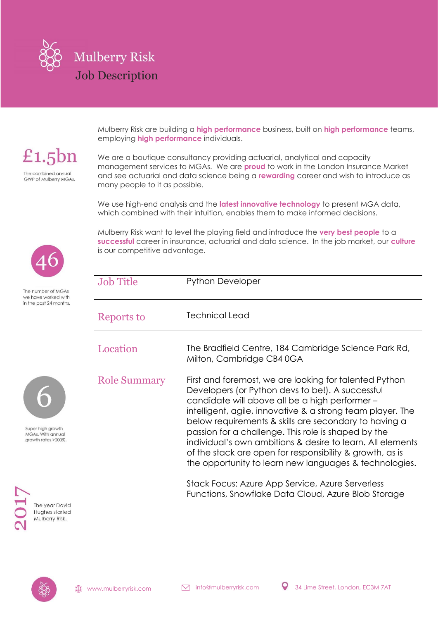

£1.5 $bn$ The combined annual

**GWP of Mulberry MGAs.** 

Mulberry Risk are building a **high performance** business, built on **high performance** teams, employing **high performance** individuals.

We are a boutique consultancy providing actuarial, analytical and capacity management services to MGAs. We are **proud** to work in the London Insurance Market and see actuarial and data science being a **rewarding** career and wish to introduce as many people to it as possible.

We use high-end analysis and the **latest innovative technology** to present MGA data, which combined with their intuition, enables them to make informed decisions.

Mulberry Risk want to level the playing field and introduce the **very best people** to a **successful** career in insurance, actuarial and data science. In the job market, our **culture** is our competitive advantage.

| <b>Job Title</b>    | <b>Python Developer</b>                                                                                                                                                                                                                                                                                                                                                                                                                                                                                                                                                          |
|---------------------|----------------------------------------------------------------------------------------------------------------------------------------------------------------------------------------------------------------------------------------------------------------------------------------------------------------------------------------------------------------------------------------------------------------------------------------------------------------------------------------------------------------------------------------------------------------------------------|
| Reports to          | Technical Lead                                                                                                                                                                                                                                                                                                                                                                                                                                                                                                                                                                   |
| Location            | The Bradfield Centre, 184 Cambridge Science Park Rd,<br>Milton, Cambridge CB4 0GA                                                                                                                                                                                                                                                                                                                                                                                                                                                                                                |
| <b>Role Summary</b> | First and foremost, we are looking for talented Python<br>Developers (or Python devs to be!). A successful<br>candidate will above all be a high performer -<br>intelligent, agile, innovative & a strong team player. The<br>below requirements & skills are secondary to having a<br>passion for a challenge. This role is shaped by the<br>individual's own ambitions & desire to learn. All elements<br>of the stack are open for responsibility & growth, as is<br>the opportunity to learn new languages & technologies.<br>Stack Eqquet Azuro App Sopico Azuro Sopicrloss |

Stack Focus: Azure App Service, Azure Serverless Functions, Snowflake Data Cloud, Azure Blob Storage



The number of MGAs we have worked with in the past 24 months.



Super high growth MGAs. With annual growth rates > 200%.



The year David Hughes started Mulberry Risk.